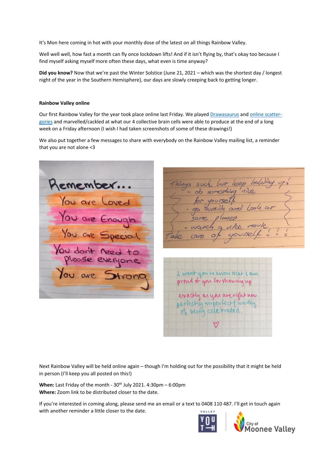It's Mon here coming in hot with your monthly dose of the latest on all things Rainbow Valley.

Well well well, how fast a month can fly once lockdown lifts! And if it isn't flying by, that's okay too because I find myself asking myself more often these days, what even is time anyway?

**Did you know?** Now that we're past the Winter Solstice (June 21, 2021 – which was the shortest day / longest night of the year in the Southern Hemisphere), our days are slowly creeping back to getting longer.

#### **Rainbow Valley online**

Our first Rainbow Valley for the year took place online last Friday. We playe[d Drawasaurus](https://www.drawasaurus.org/) and [online scatter](https://scattergoriesonline.net/)[gories](https://scattergoriesonline.net/) and marvelled/cackled at what our 4 collective brain cells were able to produce at the end of a long week on a Friday afternoon (I wish I had taken screenshots of some of these drawings!)

We also put together a few messages to share with everybody on the Rainbow Valley mailing list, a reminder that you are not alone <3

Remember... You are Loved<br>You are Enough<br>You are Special You don't need to You are Strong

hings such I want you to know that I am proved of you for showing up exactly as you are right now<br>perfectly imperfect of worthy

Next Rainbow Valley will be held online again – though I'm holding out for the possibility that it might be held in person (I'll keep you all posted on this!)

**When:** Last Friday of the month - 30<sup>th</sup> July 2021. 4:30pm – 6:00pm **Where:** Zoom link to be distributed closer to the date.

If you're interested in coming along, please send me an email or a text to 0408 110 487. I'll get in touch again with another reminder a little closer to the date.



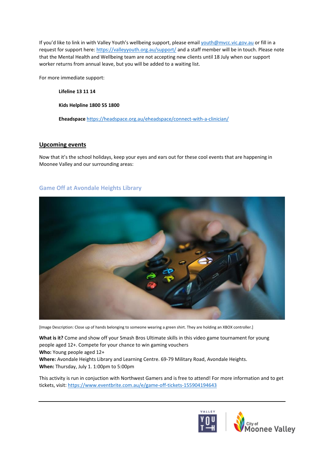If you'd like to link in with Valley Youth's wellbeing support, please email [youth@mvcc.vic.gov.au](mailto:youth@mvcc.vic.gov.au) or fill in a request for support here[: https://valleyyouth.org.au/support/](https://valleyyouth.org.au/support/) and a staff member will be in touch. Please note that the Mental Health and Wellbeing team are not accepting new clients until 18 July when our support worker returns from annual leave, but you will be added to a waiting list.

For more immediate support:

**Lifeline 13 11 14**

**Kids Helpline 1800 55 1800** 

**Eheadspace** <https://headspace.org.au/eheadspace/connect-with-a-clinician/>

### **Upcoming events**

Now that it's the school holidays, keep your eyes and ears out for these cool events that are happening in Moonee Valley and our surrounding areas:

# **Game Off at Avondale Heights Library**



[Image Description: Close up of hands belonging to someone wearing a green shirt. They are holding an XBOX controller.]

**What is it?** Come and show off your Smash Bros Ultimate skills in this video game tournament for young people aged 12+. Compete for your chance to win gaming vouchers

**Who:** Young people aged 12+

**Where:** Avondale Heights Library and Learning Centre. 69-79 Military Road, Avondale Heights. **When:** Thursday, July 1. 1:00pm to 5:00pm

This activity is run in conjuction with Northwest Gamers and is free to attend! For more information and to get tickets, visit[: https://www.eventbrite.com.au/e/game-off-tickets-155904194643](https://www.eventbrite.com.au/e/game-off-tickets-155904194643)



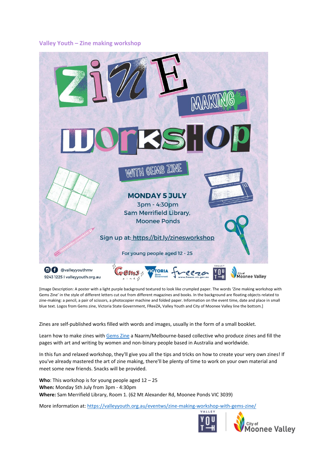## **Valley Youth – Zine making workshop**



[Image Description: A poster with a light purple background textured to look like crumpled paper. The words 'Zine making workshop with Gems Zine' in the style of different letters cut out from different magazines and books. In the background are floating objects related to zine-making: a pencil, a pair of scissors, a photocopier machine and folded paper. Information on the event time, date and place in small blue text. Logos from Gems zine, Victoria State Government, FReeZA, Valley Youth and City of Moonee Valley line the bottom.]

Zines are self-published works filled with words and images, usually in the form of a small booklet.

Learn how to make zines with [Gems Zine](https://gemszine.com/) a Naarm/Melbourne-based collective who produce zines and fill the pages with art and writing by women and non-binary people based in Australia and worldwide.

In this fun and relaxed workshop, they'll give you all the tips and tricks on how to create your very own zines! If you've already mastered the art of zine making, there'll be plenty of time to work on your own material and meet some new friends. Snacks will be provided.

**Who**: This workshop is for young people aged 12 – 25 **When:** Monday 5th July from 3pm - 4:30pm **Where:** Sam Merrifield Library, Room 1. (62 Mt Alexander Rd, Moonee Ponds VIC 3039)

More information at[: https://valleyyouth.org.au/eventws/zine-making-workshop-with-gems-zine/](https://valleyyouth.org.au/eventws/zine-making-workshop-with-gems-zine/)



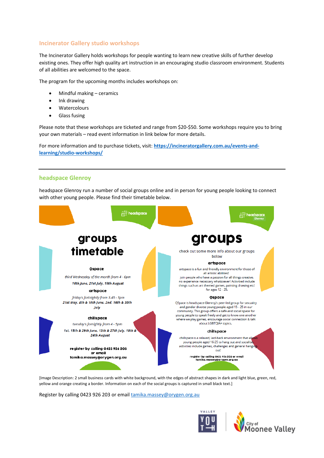# **Incinerator Gallery studio workshops**

The Incinerator Gallery holds workshops for people wanting to learn new creative skills of further develop existing ones. They offer high quality art instruction in an encouraging studio classroom environment. Students of all abilities are welcomed to the space.

The program for the upcoming months includes workshops on:

- Mindful making ceramics
- Ink drawing
- Watercolours
- Glass fusing

Please note that these workshops are ticketed and range from \$20-\$50. Some workshops require you to bring your own materials – read event information in link below for more details.

For more information and to purchase tickets, visit: **[https://incineratorgallery.com.au/events-and](https://incineratorgallery.com.au/events-and-learning/studio-workshops/)[learning/studio-workshops/](https://incineratorgallery.com.au/events-and-learning/studio-workshops/)**

### **headspace Glenroy**

headspace Glenroy run a number of social groups online and in person for young people looking to connect with other young people. Please find their timetable below.



[Image Description: 2 small business cards with white background, with the edges of abstract shapes in dark and light blue, green, red, yellow and orange creating a border. Information on each of the social groups is captured in small black text.]

Register by calling 0423 926 203 or emai[l tamika.massey@orygen.org.au](mailto:tamika.massey@orygen.org.au)



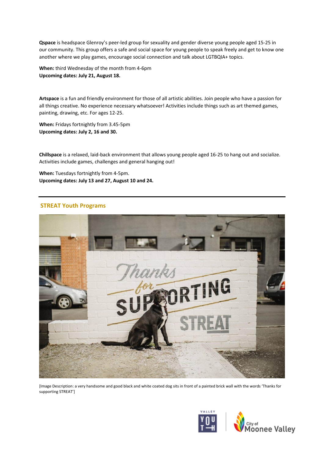**Qspace** is headspace Glenroy's peer-led group for sexuality and gender diverse young people aged 15-25 in our community. This group offers a safe and social space for young people to speak freely and get to know one another where we play games, encourage social connection and talk about LGTBQIA+ topics.

**When:** third Wednesday of the month from 4-6pm **Upcoming dates: July 21, August 18.** 

**Artspace** is a fun and friendly environment for those of all artistic abilities. Join people who have a passion for all things creative. No experience necessary whatsoever! Activities include things such as art themed games, painting, drawing, etc. For ages 12-25.

**When:** Fridays fortnightly from 3.45-5pm **Upcoming dates: July 2, 16 and 30.**

**Chillspace** is a relaxed, laid-back environment that allows young people aged 16-25 to hang out and socialize. Activities include games, challenges and general hanging out!

**When:** Tuesdays fortnightly from 4-5pm. **Upcoming dates: July 13 and 27, August 10 and 24.**

### **STREAT Youth Programs**



[Image Description: a very handsome and good black and white coated dog sits in front of a painted brick wall with the words 'Thanks for supporting STREAT']